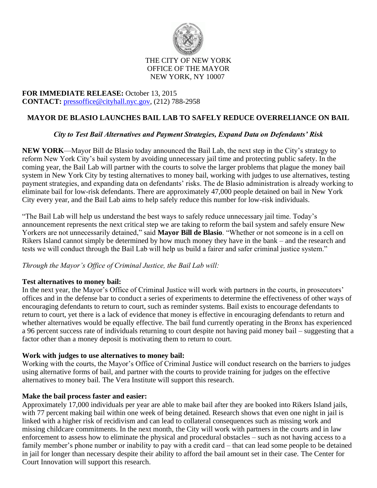

#### THE CITY OF NEW YORK OFFICE OF THE MAYOR NEW YORK, NY 10007

## **FOR IMMEDIATE RELEASE:** October 13, 2015 **CONTACT:** [pressoffice@cityhall.nyc.gov,](mailto:pressoffice@cityhall.nyc.gov) (212) 788-2958

# **MAYOR DE BLASIO LAUNCHES BAIL LAB TO SAFELY REDUCE OVERRELIANCE ON BAIL**

## *City to Test Bail Alternatives and Payment Strategies, Expand Data on Defendants' Risk*

**NEW YORK**—Mayor Bill de Blasio today announced the Bail Lab, the next step in the City's strategy to reform New York City's bail system by avoiding unnecessary jail time and protecting public safety. In the coming year, the Bail Lab will partner with the courts to solve the larger problems that plague the money bail system in New York City by testing alternatives to money bail, working with judges to use alternatives, testing payment strategies, and expanding data on defendants' risks. The de Blasio administration is already working to eliminate bail for low-risk defendants. There are approximately 47,000 people detained on bail in New York City every year, and the Bail Lab aims to help safely reduce this number for low-risk individuals.

"The Bail Lab will help us understand the best ways to safely reduce unnecessary jail time. Today's announcement represents the next critical step we are taking to reform the bail system and safely ensure New Yorkers are not unnecessarily detained," said **Mayor Bill de Blasio**. "Whether or not someone is in a cell on Rikers Island cannot simply be determined by how much money they have in the bank – and the research and tests we will conduct through the Bail Lab will help us build a fairer and safer criminal justice system."

#### *Through the Mayor's Office of Criminal Justice, the Bail Lab will:*

#### **Test alternatives to money bail:**

In the next year, the Mayor's Office of Criminal Justice will work with partners in the courts, in prosecutors' offices and in the defense bar to conduct a series of experiments to determine the effectiveness of other ways of encouraging defendants to return to court, such as reminder systems. Bail exists to encourage defendants to return to court, yet there is a lack of evidence that money is effective in encouraging defendants to return and whether alternatives would be equally effective. The bail fund currently operating in the Bronx has experienced a 96 percent success rate of individuals returning to court despite not having paid money bail – suggesting that a factor other than a money deposit is motivating them to return to court.

#### **Work with judges to use alternatives to money bail:**

Working with the courts, the Mayor's Office of Criminal Justice will conduct research on the barriers to judges using alternative forms of bail, and partner with the courts to provide training for judges on the effective alternatives to money bail. The Vera Institute will support this research.

#### **Make the bail process faster and easier:**

Approximately 17,000 individuals per year are able to make bail after they are booked into Rikers Island jails, with 77 percent making bail within one week of being detained. Research shows that even one night in jail is linked with a higher risk of recidivism and can lead to collateral consequences such as missing work and missing childcare commitments. In the next month, the City will work with partners in the courts and in law enforcement to assess how to eliminate the physical and procedural obstacles – such as not having access to a family member's phone number or inability to pay with a credit card – that can lead some people to be detained in jail for longer than necessary despite their ability to afford the bail amount set in their case. The Center for Court Innovation will support this research.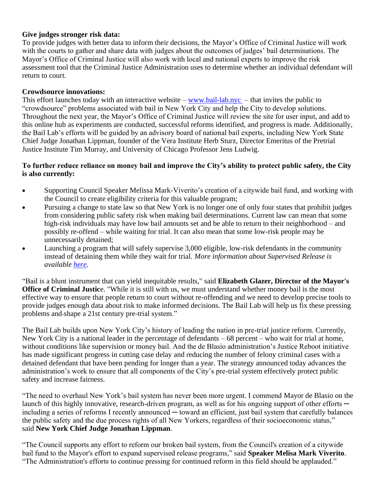## **Give judges stronger risk data:**

To provide judges with better data to inform their decisions, the Mayor's Office of Criminal Justice will work with the courts to gather and share data with judges about the outcomes of judges' bail determinations. The Mayor's Office of Criminal Justice will also work with local and national experts to improve the risk assessment tool that the Criminal Justice Administration uses to determine whether an individual defendant will return to court.

### **Crowdsource innovations:**

This effort launches today with an interactive website – [www.bail-lab.nyc](http://www.bail-lab.nyc/) – that invites the public to "crowdsource" problems associated with bail in New York City and help the City to develop solutions. Throughout the next year, the Mayor's Office of Criminal Justice will review the site for user input, and add to this online hub as experiments are conducted, successful reforms identified, and progress is made. Additionally, the Bail Lab's efforts will be guided by an advisory board of national bail experts, including New York State Chief Judge Jonathan Lippman, founder of the Vera Institute Herb Sturz, Director Emeritus of the Pretrial Justice Institute Tim Murray, and University of Chicago Professor Jens Ludwig.

### **To further reduce reliance on money bail and improve the City's ability to protect public safety, the City is also currently:**

- Supporting Council Speaker Melissa Mark-Viverito's creation of a citywide bail fund, and working with the Council to create eligibility criteria for this valuable program;
- Pursuing a change to state law so that New York is no longer one of only four states that prohibit judges from considering public safety risk when making bail determinations. Current law can mean that some high-risk individuals may have low bail amounts set and be able to return to their neighborhood – and possibly re-offend – while waiting for trial. It can also mean that some low-risk people may be unnecessarily detained;
- Launching a program that will safely supervise 3,000 eligible, low-risk defendants in the community instead of detaining them while they wait for trial. *More information about Supervised Release is available [here.](http://www1.nyc.gov/office-of-the-mayor/news/471-15/mayor-de-blasio-17-8-million-reduce-unnecessary-jail-time-people-waiting-trial)*

"Bail is a blunt instrument that can yield inequitable results," said **Elizabeth Glazer, Director of the Mayor's Office of Criminal Justice.** "While it is still with us, we must understand whether money bail is the most effective way to ensure that people return to court without re-offending and we need to develop precise tools to provide judges enough data about risk to make informed decisions. The Bail Lab will help us fix these pressing problems and shape a 21st century pre-trial system."

The Bail Lab builds upon New York City's history of leading the nation in pre-trial justice reform. Currently, New York City is a national leader in the percentage of defendants – 68 percent – who wait for trial at home, without conditions like supervision or money bail. And the de Blasio administration's Justice Reboot initiative has made significant progress in cutting case delay and reducing the number of felony criminal cases with a detained defendant that have been pending for longer than a year. The strategy announced today advances the administration's work to ensure that all components of the City's pre-trial system effectively protect public safety and increase fairness.

"The need to overhaul New York's bail system has never been more urgent. I commend Mayor de Blasio on the launch of this highly innovative, research-driven program, as well as for his ongoing support of other efforts  $\rightarrow$ including a series of reforms I recently announced — toward an efficient, just bail system that carefully balances the public safety and the due process rights of all New Yorkers, regardless of their socioeconomic status," said **New York Chief Judge Jonathan Lippman**.

"The Council supports any effort to reform our broken bail system, from the Council's creation of a citywide bail fund to the Mayor's effort to expand supervised release programs," said **Speaker Melisa Mark Viverito**. "The Administration's efforts to continue pressing for continued reform in this field should be applauded."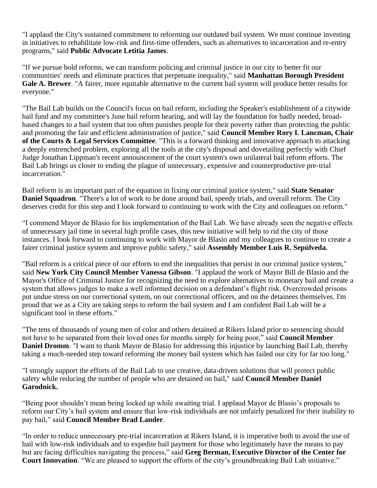"I applaud the City's sustained commitment to reforming our outdated bail system. We must continue investing in initiatives to rehabilitate low-risk and first-time offenders, such as alternatives to incarceration and re-entry programs," said **Public Advocate Letitia James**.

"If we pursue bold reforms, we can transform policing and criminal justice in our city to better fit our communities' needs and eliminate practices that perpetuate inequality," said **Manhattan Borough President Gale A. Brewer**. "A fairer, more equitable alternative to the current bail system will produce better results for everyone."

"The Bail Lab builds on the Council's focus on bail reform, including the Speaker's establishment of a citywide bail fund and my committee's June bail reform hearing, and will lay the foundation for badly needed, broadbased changes to a bail system that too often punishes people for their poverty rather than protecting the public and promoting the fair and efficient administration of justice," said **Council Member Rory I. Lancman, Chair of the Courts & Legal Services Committee**. "This is a forward thinking and innovative approach to attacking a deeply entrenched problem, exploring all the tools at the city's disposal and dovetailing perfectly with Chief Judge Jonathan Lippman's recent announcement of the court system's own unilateral bail reform efforts. The Bail Lab brings us closer to ending the plague of unnecessary, expensive and counterproductive pre-trial incarceration."

Bail reform is an important part of the equation in fixing our criminal justice system," said **State Senator Daniel Squadron**. "There's a lot of work to be done around bail, speedy trials, and overall reform. The City deserves credit for this step and I look forward to continuing to work with the City and colleagues on reform."

"I commend Mayor de Blasio for his implementation of the Bail Lab. We have already seen the negative effects of unnecessary jail time in several high profile cases, this new initiative will help to rid the city of those instances. I look forward to continuing to work with Mayor de Blasio and my colleagues to continue to create a fairer criminal justice system and improve public safety," said **Assembly Member Luis R. Sepúlveda.**

"Bail reform is a critical piece of our efforts to end the inequalities that persist in our criminal justice system," said **New York City Council Member Vanessa Gibson**. "I applaud the work of Mayor Bill de Blasio and the Mayor's Office of Criminal Justice for recognizing the need to explore alternatives to monetary bail and create a system that allows judges to make a well informed decision on a defendant's flight risk. Overcrowded prisons put undue stress on our correctional system, on our correctional officers, and on the detainees themselves. I'm proud that we as a City are taking steps to reform the bail system and I am confident Bail Lab will be a significant tool in these efforts."

"The tens of thousands of young men of color and others detained at Rikers Island prior to sentencing should not have to be separated from their loved ones for months simply for being poor," said **Council Member Daniel Dromm**. "I want to thank Mayor de Blasio for addressing this injustice by launching Bail Lab, thereby taking a much-needed step toward reforming the money bail system which has failed our city for far too long."

"I strongly support the efforts of the Bail Lab to use creative, data-driven solutions that will protect public safety while reducing the number of people who are detained on bail," said **Council Member Daniel Garodnick.**

"Being poor shouldn't mean being locked up while awaiting trial. I applaud Mayor de Blasio's proposals to reform our City's bail system and ensure that low-risk individuals are not unfairly penalized for their inability to pay bail," said **Council Member Brad Lander**.

"In order to reduce unnecessary pre-trial incarceration at Rikers Island, it is imperative both to avoid the use of bail with low-risk individuals and to expedite bail payment for those who legitimately have the means to pay but are facing difficulties navigating the process," said **Greg Berman, Executive Director of the Center for Court Innovation**. "We are pleased to support the efforts of the city's groundbreaking Bail Lab initiative."